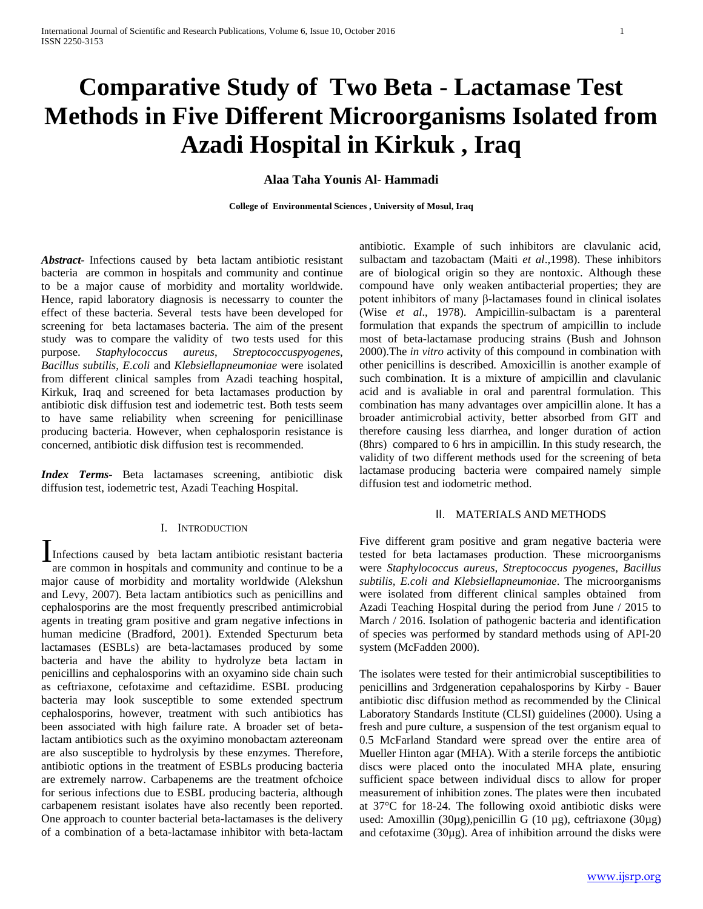# **Comparative Study of Two Beta - Lactamase Test Methods in Five Different Microorganisms Isolated from Azadi Hospital in Kirkuk , Iraq**

**Alaa Taha Younis Al- Hammadi**

**College of Environmental Sciences , University of Mosul, Iraq**

*Abstract-* Infections caused by beta lactam antibiotic resistant bacteria are common in hospitals and community and continue to be a major cause of morbidity and mortality worldwide. Hence, rapid laboratory diagnosis is necessarry to counter the effect of these bacteria. Several tests have been developed for screening for beta lactamases bacteria. The aim of the present study was to compare the validity of two tests used for this purpose. *Staphylococcus aureus*, *Streptococcuspyogenes*, *Bacillus subtilis*, *E.coli* and *Klebsiellapneumoniae* were isolated from different clinical samples from Azadi teaching hospital, Kirkuk, Iraq and screened for beta lactamases production by antibiotic disk diffusion test and iodemetric test. Both tests seem to have same reliability when screening for penicillinase producing bacteria. However, when cephalosporin resistance is concerned, antibiotic disk diffusion test is recommended.

*Index Terms*- Beta lactamases screening, antibiotic disk diffusion test, iodemetric test, Azadi Teaching Hospital.

#### I. INTRODUCTION

Infections caused by beta lactam antibiotic resistant bacteria<br>are common in bospitals and community and continue to be a are common in hospitals and community and continue to be a major cause of morbidity and mortality worldwide (Alekshun and Levy, 2007). Beta lactam antibiotics such as penicillins and cephalosporins are the most frequently prescribed antimicrobial agents in treating gram positive and gram negative infections in human medicine (Bradford, 2001). Extended Specturum beta lactamases (ESBLs) are beta-lactamases produced by some bacteria and have the ability to hydrolyze beta lactam in penicillins and cephalosporins with an oxyamino side chain such as ceftriaxone, cefotaxime and ceftazidime. ESBL producing bacteria may look susceptible to some extended spectrum cephalosporins, however, treatment with such antibiotics has been associated with high failure rate. A broader set of betalactam antibiotics such as the oxyimino monobactam aztereonam are also susceptible to hydrolysis by these enzymes. Therefore, antibiotic options in the treatment of ESBLs producing bacteria are extremely narrow. Carbapenems are the treatment ofchoice for serious infections due to ESBL producing bacteria, although carbapenem resistant isolates have also recently been reported. One approach to counter bacterial beta-lactamases is the delivery of a combination of a beta-lactamase inhibitor with beta-lactam

antibiotic. Example of such inhibitors are clavulanic acid, sulbactam and tazobactam (Maiti *et al*.,1998). These inhibitors are of biological origin so they are nontoxic. Although these compound have only weaken antibacterial properties; they are potent inhibitors of many β-lactamases found in clinical isolates (Wise *et al*., 1978). Ampicillin-sulbactam is a parenteral formulation that expands the spectrum of ampicillin to include most of beta-lactamase producing strains (Bush and Johnson 2000).The *in vitro* activity of this compound in combination with other penicillins is described. Amoxicillin is another example of such combination. It is a mixture of ampicillin and clavulanic acid and is avaliable in oral and parentral formulation. This combination has many advantages over ampicillin alone. It has a broader antimicrobial activity, better absorbed from GIT and therefore causing less diarrhea, and longer duration of action (8hrs) compared to 6 hrs in ampicillin. In this study research, the validity of two different methods used for the screening of beta lactamase producing bacteria were compaired namely simple diffusion test and iodometric method.

## II. MATERIALS AND METHODS

Five different gram positive and gram negative bacteria were tested for beta lactamases production. These microorganisms were *Staphylococcus aureus, Streptococcus pyogenes, Bacillus subtilis, E.coli and Klebsiellapneumoniae*. The microorganisms were isolated from different clinical samples obtained from Azadi Teaching Hospital during the period from June / 2015 to March / 2016. Isolation of pathogenic bacteria and identification of species was performed by standard methods using of API-20 system (McFadden 2000).

The isolates were tested for their antimicrobial susceptibilities to penicillins and 3rdgeneration cepahalosporins by Kirby - Bauer antibiotic disc diffusion method as recommended by the Clinical Laboratory Standards Institute (CLSI) guidelines (2000). Using a fresh and pure culture, a suspension of the test organism equal to 0.5 McFarland Standard were spread over the entire area of Mueller Hinton agar (MHA). With a sterile forceps the antibiotic discs were placed onto the inoculated MHA plate, ensuring sufficient space between individual discs to allow for proper measurement of inhibition zones. The plates were then incubated at 37°C for 18-24. The following oxoid antibiotic disks were used: Amoxillin (30µg),penicillin G (10 µg), ceftriaxone (30µg) and cefotaxime (30µg). Area of inhibition arround the disks were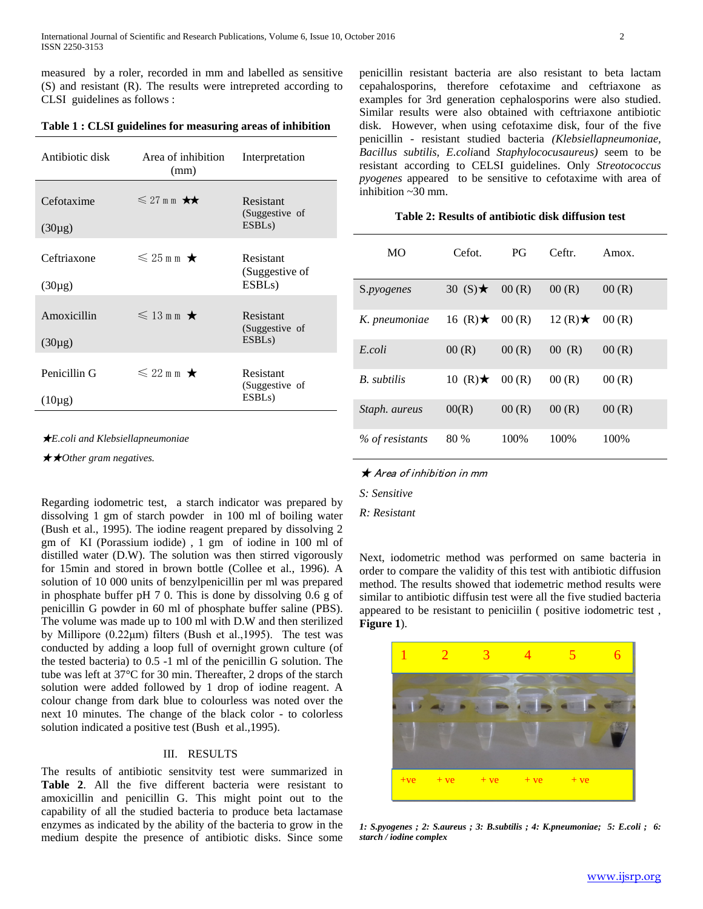measured by a roler, recorded in mm and labelled as sensitive (S) and resistant (R). The results were intrepreted according to CLSI guidelines as follows :

## **Table 1 : CLSI guidelines for measuring areas of inhibition**

| Antibiotic disk             | Area of inhibition<br>(mm) | Interpretation                                     |  |
|-----------------------------|----------------------------|----------------------------------------------------|--|
| Cefotaxime<br>$(30\mu g)$   | $\leq 27$ m m $\star\star$ | Resistant<br>(Suggestive of<br>ESBL <sub>s</sub> ) |  |
| Ceftriaxone<br>$(30\mu g)$  | $\leq 25$ m m $\star$      | Resistant<br>(Suggestive of<br>ESBL <sub>s</sub> ) |  |
| Amoxicillin<br>$(30\mu g)$  | $\leqslant$ 13 m m $\star$ | Resistant<br>(Suggestive of<br>ESBL <sub>s</sub> ) |  |
| Penicillin G<br>$(10\mu g)$ | $\leq 22$ m m $\star$      | Resistant<br>(Suggestive of<br>ESBL <sub>s</sub> ) |  |

★*E.coli and Klebsiellapneumoniae*

★★*Other gram negatives.*

Regarding iodometric test, a starch indicator was prepared by dissolving 1 gm of starch powder in 100 ml of boiling water (Bush et al., 1995). The iodine reagent prepared by dissolving 2 gm of KI (Porassium iodide) , 1 gm of iodine in 100 ml of distilled water (D.W). The solution was then stirred vigorously for 15min and stored in brown bottle (Collee et al., 1996). A solution of 10 000 units of benzylpenicillin per ml was prepared in phosphate buffer pH 7 0. This is done by dissolving 0.6 g of penicillin G powder in 60 ml of phosphate buffer saline (PBS). The volume was made up to 100 ml with D.W and then sterilized by Millipore (0.22μm) filters (Bush et al.,1995). The test was conducted by adding a loop full of overnight grown culture (of the tested bacteria) to 0.5 -1 ml of the penicillin G solution. The tube was left at 37°C for 30 min. Thereafter, 2 drops of the starch solution were added followed by 1 drop of iodine reagent. A colour change from dark blue to colourless was noted over the next 10 minutes. The change of the black color - to colorless solution indicated a positive test (Bush et al.,1995).

## III. RESULTS

The results of antibiotic sensitvity test were summarized in **Table 2**. All the five different bacteria were resistant to amoxicillin and penicillin G. This might point out to the capability of all the studied bacteria to produce beta lactamase enzymes as indicated by the ability of the bacteria to grow in the medium despite the presence of antibiotic disks. Since some penicillin resistant bacteria are also resistant to beta lactam cepahalosporins, therefore cefotaxime and ceftriaxone as examples for 3rd generation cephalosporins were also studied. Similar results were also obtained with ceftriaxone antibiotic disk. However, when using cefotaxime disk, four of the five penicillin - resistant studied bacteria *(Klebsiellapneumoniae, Bacillus subtilis, E.coli*and *Staphylococusaureus)* seem to be resistant according to CELSI guidelines. Only *Streotococcus pyogenes* appeared to be sensitive to cefotaxime with area of inhibition ~30 mm.

#### **Table 2: Results of antibiotic disk diffusion test**

| <b>MO</b>       | Cefot.           | PG    | Ceftr.           | Amox. |
|-----------------|------------------|-------|------------------|-------|
| S.pyogenes      | 30 $(S)$ $\star$ | 00(R) | 00(R)            | 00(R) |
| K. pneumoniae   | 16 $(R)$ $\star$ | 00(R) | 12 $(R)$ $\star$ | 00(R) |
| E.coli          | 00(R)            | 00(R) | 00(R)            | 00(R) |
| B. subtilis     | 10 $(R)$ $\star$ | 00(R) | 00(R)            | 00(R) |
| Staph. aureus   | 00(R)            | 00(R) | 00(R)            | 00(R) |
| % of resistants | 80 %             | 100%  | 100%             | 100%  |

★ Area of inhibition in mm

*S: Sensitive*

*R: Resistant*

Next, iodometric method was performed on same bacteria in order to compare the validity of this test with antibiotic diffusion method. The results showed that iodemetric method results were similar to antibiotic diffusin test were all the five studied bacteria appeared to be resistant to peniciilin ( positive iodometric test , **Figure 1**).



*1: S.pyogenes ; 2: S.aureus ; 3: B.subtilis ; 4: K.pneumoniae; 5: E.coli ; 6: starch / iodine complex*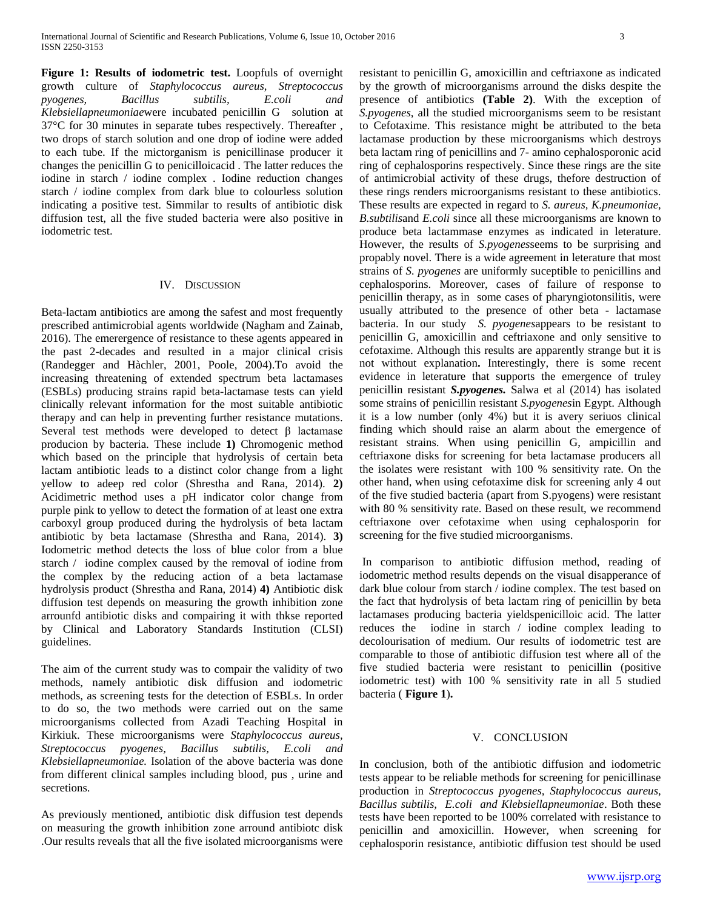**Figure 1: Results of iodometric test.** Loopfuls of overnight growth culture of *Staphylococcus aureus, Streptococcus pyogenes, Bacillus subtilis, E.coli and Klebsiellapneumoniae*were incubated penicillin G solution at 37°C for 30 minutes in separate tubes respectively. Thereafter , two drops of starch solution and one drop of iodine were added to each tube. If the mictorganism is penicillinase producer it changes the penicillin G to penicilloicacid . The latter reduces the iodine in starch / iodine complex . Iodine reduction changes starch / iodine complex from dark blue to colourless solution indicating a positive test. Simmilar to results of antibiotic disk diffusion test, all the five studed bacteria were also positive in iodometric test.

## IV. DISCUSSION

Beta-lactam antibiotics are among the safest and most frequently prescribed antimicrobial agents worldwide (Nagham and Zainab, 2016). The emerergence of resistance to these agents appeared in the past 2-decades and resulted in a major clinical crisis (Randegger and Hàchler, 2001, Poole, 2004).To avoid the increasing threatening of extended spectrum beta lactamases (ESBLs) producing strains rapid beta-lactamase tests can yield clinically relevant information for the most suitable antibiotic therapy and can help in preventing further resistance mutations. Several test methods were developed to detect β lactamase producion by bacteria. These include **1)** Chromogenic method which based on the principle that hydrolysis of certain beta lactam antibiotic leads to a distinct color change from a light yellow to adeep red color (Shrestha and Rana, 2014). **2)**  Acidimetric method uses a pH indicator color change from purple pink to yellow to detect the formation of at least one extra carboxyl group produced during the hydrolysis of beta lactam antibiotic by beta lactamase (Shrestha and Rana, 2014). **3)**  Iodometric method detects the loss of blue color from a blue starch / iodine complex caused by the removal of iodine from the complex by the reducing action of a beta lactamase hydrolysis product (Shrestha and Rana, 2014) **4)** Antibiotic disk diffusion test depends on measuring the growth inhibition zone arrounfd antibiotic disks and compairing it with thkse reported by Clinical and Laboratory Standards Institution (CLSI) guidelines.

The aim of the current study was to compair the validity of two methods, namely antibiotic disk diffusion and iodometric methods, as screening tests for the detection of ESBLs. In order to do so, the two methods were carried out on the same microorganisms collected from Azadi Teaching Hospital in Kirkiuk. These microorganisms were *Staphylococcus aureus, Streptococcus pyogenes, Bacillus subtilis, E.coli and Klebsiellapneumoniae.* Isolation of the above bacteria was done from different clinical samples including blood, pus , urine and secretions.

As previously mentioned, antibiotic disk diffusion test depends on measuring the growth inhibition zone arround antibiotc disk .Our results reveals that all the five isolated microorganisms were resistant to penicillin G, amoxicillin and ceftriaxone as indicated by the growth of microorganisms arround the disks despite the presence of antibiotics **(Table 2)**. With the exception of *S.pyogenes*, all the studied microorganisms seem to be resistant to Cefotaxime. This resistance might be attributed to the beta lactamase production by these microorganisms which destroys beta lactam ring of penicillins and 7- amino cephalosporonic acid ring of cephalosporins respectively. Since these rings are the site of antimicrobial activity of these drugs, thefore destruction of these rings renders microorganisms resistant to these antibiotics. These results are expected in regard to *S. aureus, K.pneumoniae, B.subtilis*and *E.coli* since all these microorganisms are known to produce beta lactammase enzymes as indicated in leterature. However, the results of *S.pyogenes*seems to be surprising and propably novel. There is a wide agreement in leterature that most strains of *S. pyogenes* are uniformly suceptible to penicillins and cephalosporins. Moreover, cases of failure of response to penicillin therapy, as in some cases of pharyngiotonsilitis, were usually attributed to the presence of other beta - lactamase bacteria. In our study *S. pyogenes*appears to be resistant to penicillin G, amoxicillin and ceftriaxone and only sensitive to cefotaxime. Although this results are apparently strange but it is not without explanation**.** Interestingly, there is some recent evidence in leterature that supports the emergence of truley penicillin resistant *S.pyogenes.* Salwa et al (2014) has isolated some strains of penicillin resistant *S.pyogenes*in Egypt. Although it is a low number (only 4%) but it is avery seriuos clinical finding which should raise an alarm about the emergence of resistant strains. When using penicillin G, ampicillin and ceftriaxone disks for screening for beta lactamase producers all the isolates were resistant with 100 % sensitivity rate. On the other hand, when using cefotaxime disk for screening anly 4 out of the five studied bacteria (apart from S.pyogens) were resistant with 80 % sensitivity rate. Based on these result, we recommend ceftriaxone over cefotaxime when using cephalosporin for screening for the five studied microorganisms.

In comparison to antibiotic diffusion method, reading of iodometric method results depends on the visual disapperance of dark blue colour from starch / iodine complex. The test based on the fact that hydrolysis of beta lactam ring of penicillin by beta lactamases producing bacteria yieldspenicilloic acid. The latter reduces the iodine in starch / iodine complex leading to decolourisation of medium. Our results of iodometric test are comparable to those of antibiotic diffusion test where all of the five studied bacteria were resistant to penicillin (positive iodometric test) with 100 % sensitivity rate in all 5 studied bacteria ( **Figure 1**)**.**

# V. CONCLUSION

In conclusion, both of the antibiotic diffusion and iodometric tests appear to be reliable methods for screening for penicillinase production in *Streptococcus pyogenes, Staphylococcus aureus, Bacillus subtilis, E.coli and Klebsiellapneumoniae*. Both these tests have been reported to be 100% correlated with resistance to penicillin and amoxicillin. However, when screening for cephalosporin resistance, antibiotic diffusion test should be used